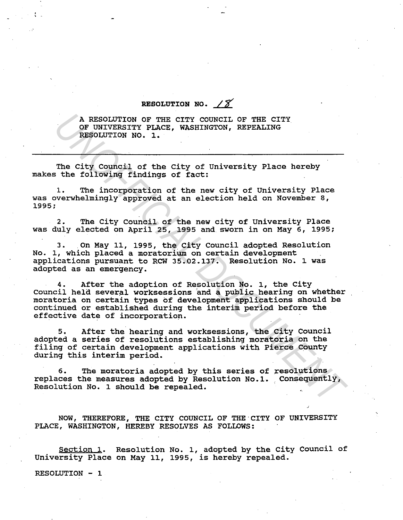RESOLUTION NO.  $\angle \widetilde{\mathcal{S}}$ 

A RESOLUTION OF THE CITY COUNCIL OF THE CITY OF UNIVERSITY PLACE, WASHINGTON, REPEALING RESOLUTION NO. 1.

The City Council of the City of University Place hereby makes the following findings of fact:

1. The incorporation of the new city of University Place was overwhelmingly approved at an election held on November 8, 1995;

2. The City Council of the new city of university Place was duly elected on April 25, 1995 and. sworn in on May 6, 1995;

3. On May 11, 1995, the City Council adopted Resolution No. 1, which placed a moratorium on certain development applications pursuant to RCW 35.02.137. Resolution No. 1 was adopted as an emergency.

4. After the adoption of Resolution No. 1, the City council held several worksessions and a public hearing on whether moratoria on certain types of development applications should be continued or established during the interim period before the effective date of incorporation. A RESOLUTION OF THE CITY COUNCIL OF THE CITY<br>OR UNIVERSITY PLACE, WASHINGTON, REPEALING<br>RESOLUTION NO. 1.<br>The City Council of the City of University Place hereby<br>the following findings of fact:<br> $1$ . The incorporation of th

5. After the hearing and worksessions, the City Council adopted a series of resolutions establishing moratoria on the filing of certain development applications with Pierce County during this interim period.

6. The moratoria adopted by this series of resolutions replaces the measures adopted by Resolution No.l. consequently, Resolution No. 1 should be repealed.

NOW, THEREFORE, THE CITY COUNCIL OF THE CITY OF UNIVERSITY PLACE, WASHINGTON, HEREBY RESOLVES AS FOLLOWS:

Section 1. Resolution No. 1, adopted by the City Council of University Place on May 11, 1995, is hereby repealed.

RESOLUTION - 1